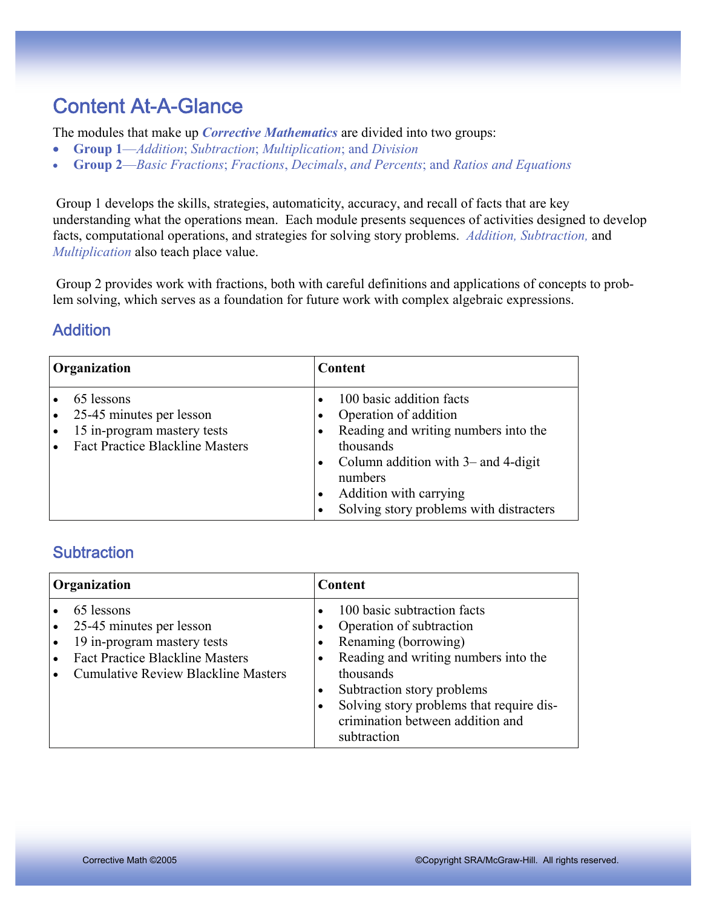## Content At-A-Glance

The modules that make up *Corrective Mathematics* are divided into two groups:

- **Group 1**—*Addition*; *Subtraction*; *Multiplication*; and *Division*
- **Group 2**—*Basic Fractions*; *Fractions*, *Decimals*, *and Percents*; and *Ratios and Equations*

 Group 1 develops the skills, strategies, automaticity, accuracy, and recall of facts that are key understanding what the operations mean. Each module presents sequences of activities designed to develop facts, computational operations, and strategies for solving story problems. *Addition, Subtraction,* and *Multiplication* also teach place value.

 Group 2 provides work with fractions, both with careful definitions and applications of concepts to problem solving, which serves as a foundation for future work with complex algebraic expressions.

#### **Addition**

| Organization |                                                                                                                 | <b>Content</b>                      |                                                                                                                                                                                                                                    |
|--------------|-----------------------------------------------------------------------------------------------------------------|-------------------------------------|------------------------------------------------------------------------------------------------------------------------------------------------------------------------------------------------------------------------------------|
|              | 65 lessons<br>25-45 minutes per lesson<br>15 in-program mastery tests<br><b>Fact Practice Blackline Masters</b> | $\bullet$<br>$\bullet$<br>$\bullet$ | 100 basic addition facts<br>Operation of addition<br>Reading and writing numbers into the<br>thousands<br>Column addition with $3-$ and $4$ -digit<br>numbers<br>Addition with carrying<br>Solving story problems with distracters |

#### **Subtraction**

| Organization                                                                                                                                                  | Content                                                                                                                                                                                                                                                           |  |
|---------------------------------------------------------------------------------------------------------------------------------------------------------------|-------------------------------------------------------------------------------------------------------------------------------------------------------------------------------------------------------------------------------------------------------------------|--|
| 65 lessons<br>25-45 minutes per lesson<br>19 in-program mastery tests<br><b>Fact Practice Blackline Masters</b><br><b>Cumulative Review Blackline Masters</b> | 100 basic subtraction facts<br>Operation of subtraction<br>Renaming (borrowing)<br>Reading and writing numbers into the<br>thousands<br>Subtraction story problems<br>Solving story problems that require dis-<br>crimination between addition and<br>subtraction |  |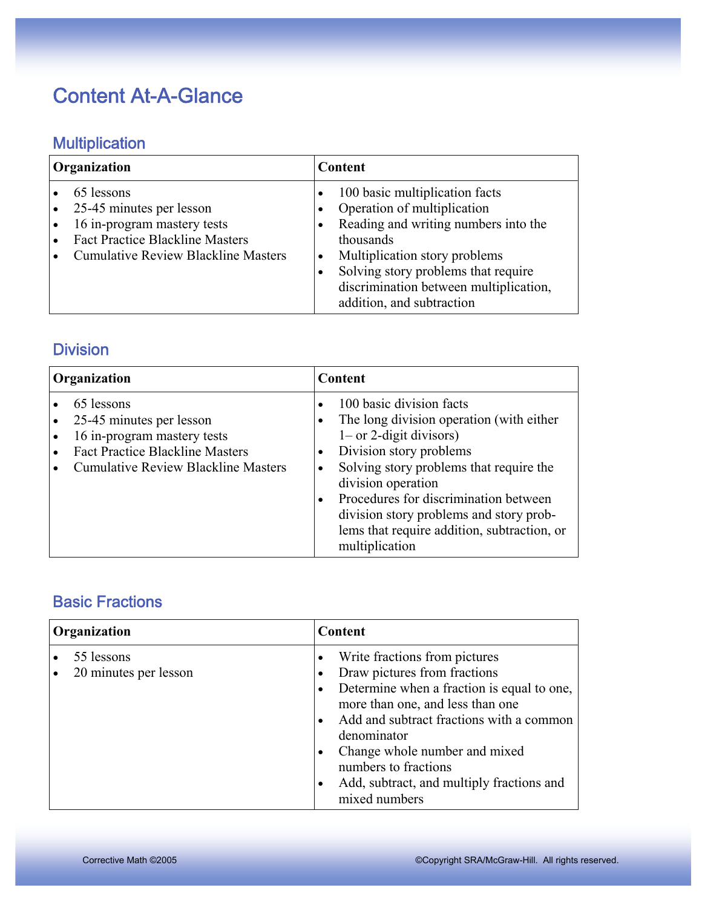## Content At-A-Glance

### **Multiplication**

| Organization                                                                                                                                                  | Content                                                                                                                                                                                                                                                           |  |
|---------------------------------------------------------------------------------------------------------------------------------------------------------------|-------------------------------------------------------------------------------------------------------------------------------------------------------------------------------------------------------------------------------------------------------------------|--|
| 65 lessons<br>25-45 minutes per lesson<br>16 in-program mastery tests<br><b>Fact Practice Blackline Masters</b><br><b>Cumulative Review Blackline Masters</b> | 100 basic multiplication facts<br>Operation of multiplication<br>Reading and writing numbers into the<br>thousands<br>Multiplication story problems<br>Solving story problems that require<br>discrimination between multiplication,<br>addition, and subtraction |  |

#### **Division**

| Organization                                                                                                                                                  | <b>Content</b>                                                                                                                                                                                                                                                                                                                                      |  |
|---------------------------------------------------------------------------------------------------------------------------------------------------------------|-----------------------------------------------------------------------------------------------------------------------------------------------------------------------------------------------------------------------------------------------------------------------------------------------------------------------------------------------------|--|
| 65 lessons<br>25-45 minutes per lesson<br>16 in-program mastery tests<br><b>Fact Practice Blackline Masters</b><br><b>Cumulative Review Blackline Masters</b> | 100 basic division facts<br>The long division operation (with either<br>$1$ – or 2-digit divisors)<br>Division story problems<br>Solving story problems that require the<br>division operation<br>Procedures for discrimination between<br>division story problems and story prob-<br>lems that require addition, subtraction, or<br>multiplication |  |

#### Basic Fractions

| Organization |                                     | Content                                                                                                                                                                                                                                                                                                                           |  |
|--------------|-------------------------------------|-----------------------------------------------------------------------------------------------------------------------------------------------------------------------------------------------------------------------------------------------------------------------------------------------------------------------------------|--|
|              | 55 lessons<br>20 minutes per lesson | Write fractions from pictures<br>Draw pictures from fractions<br>Determine when a fraction is equal to one,<br>more than one, and less than one<br>Add and subtract fractions with a common<br>denominator<br>Change whole number and mixed<br>numbers to fractions<br>Add, subtract, and multiply fractions and<br>mixed numbers |  |